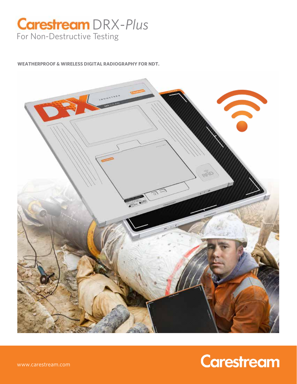# **Carestream** DRX-Plus For Non-Destructive Testing

**WEATHERPROOF & WIRELESS DIGITAL RADIOGRAPHY FOR NDT.**



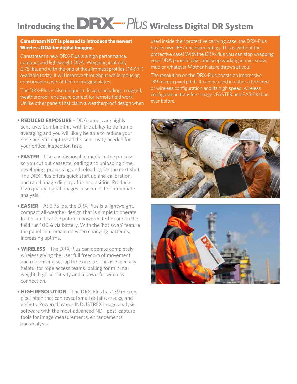# **Introducing the DRX-** PlUS wireless Digital DR System

#### **Carestream NDT is pleased to introduce the newest Wireless DDA for digital Imaging.**

Carestream's new DRX-Plus is a high performance, compact and lightweight DDA. Weighing in at only 6.75 lbs. and with the one of the slimmest profiles (14x17") available today, it will improve throughput while reducing consumable costs of film or imaging plates.

The DRX-Plus is also unique in design, including a rugged, weatherproof enclosure perfect for remote field work. Unlike other panels that claim a weatherproof design when

used inside their protective carrying case, the DRX-Plus has its own IP57 enclosure rating. This is without the protective case! With the DRX-Plus you can stop wrapping your DDA panel in bags and keep working in rain, snow, mud or whatever Mother Nature throws at you!

The resolution on the DRX-Plus boasts an impressive 139 micron pixel pitch. It can be used in either a tethered or wireless configuration and its high speed, wireless configuration transfers images FASTER and EASIER than ever before.

- **REDUCED EXPOSURE**  DDA panels are highly sensitive. Combine this with the ability to do frame averaging and you will likely be able to reduce your dose and still capture all the sensitivity needed for your critical inspection task.
- **FASTER**  Uses no disposable media in the process so you cut out cassette loading and unloading time, developing, processing and reloading for the next shot. The DRX-Plus offers quick start up and calibration, and rapid image display after acquisition. Produce high quality digital images in seconds for immediate analysis.
- **EASIER**  At 6.75 lbs. the DRX-Plus is a lightweight, compact all-weather design that is simple to operate. In the lab it can be put on a powered tether and in the field run 100% via battery. With the 'hot swap' feature the panel can remain on when changing batteries, increasing uptime.
- **WIRELESS**  The DRX-Plus can operate completely wireless giving the user full freedom of movement and minimizing set-up time on site. This is especially helpful for rope access teams looking for minimal weight, high sensitivity and a powerful wireless connection.
- **HIGH RESOLUTION**  The DRX-Plus has 139 micron pixel pitch that can reveal small details, cracks, and defects. Powered by our INDUSTREX image analysis software with the most advanced NDT post-capture tools for image measurements, enhancements and analysis.



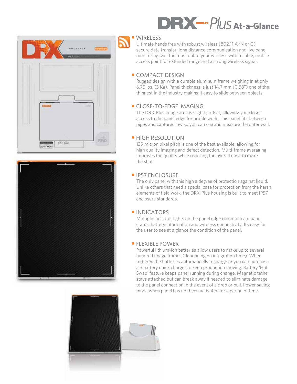



# **•** WIRELESS **DRX-"PluS At-a-Glance**

Ultimate hands free with robust wireless (802.11 A/N or G) secure data transfer, long distance communication and live panel monitoring. Get the most out of your wireless with reliable, mobile access point for extended range and a strong wireless signal.

# **•** COMPACT DESIGN

Rugged design with a durable aluminum frame weighing in at only 6.75 lbs. (3 Kg). Panel thickness is just 14.7 mm (0.58") one of the thinnest in the industry making it easy to slide between objects.

## **•** CLOSE-TO-EDGE IMAGING

The DRX-Plus image area is slightly offset, allowing you closer access to the panel edge for profile work. This panel fits between pipes and captures low so you can see and measure the outer wall.

## **•** HIGH RESOLUTION

139 micron pixel pitch is one of the best available, allowing for high quality imaging and defect detection. Multi-frame averaging improves the quality while reducing the overall dose to make the shot.

### **•** IP57 ENCLOSURE

The only panel with this high a degree of protection against liquid. Unlike others that need a special case for protection from the harsh elements of field work, the DRX-Plus housing is built to meet IP57 enclosure standards.

### **•** INDICATORS

Multiple indicator lights on the panel edge communicate panel status, battery information and wireless connectivity. Its easy for the user to see at a glance the condition of the panel.

### **•** FLEXIBLE POWER

Powerful lithium-ion batteries allow users to make up to several hundred image frames (depending on integration time). When tethered the batteries automatically recharge or you can purchase a 3 battery quick charger to keep production moving. Battery 'Hot Swap' feature keeps panel running during change. Magnetic tether stays attached but can break away if needed to eliminate damage to the panel connection in the event of a drop or pull. Power saving mode when panel has not been activated for a period of time.